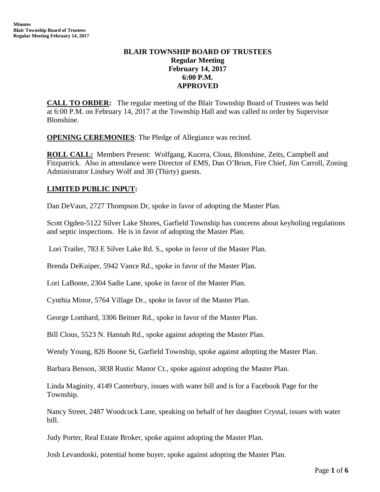# **BLAIR TOWNSHIP BOARD OF TRUSTEES Regular Meeting February 14, 2017 6:00 P.M. APPROVED**

**CALL TO ORDER:** The regular meeting of the Blair Township Board of Trustees was held at 6:00 P.M. on February 14, 2017 at the Township Hall and was called to order by Supervisor Blonshine.

**OPENING CEREMONIES**: The Pledge of Allegiance was recited.

**ROLL CALL:** Members Present: Wolfgang, Kucera, Clous, Blonshine, Zeits, Campbell and Fitzpatrick. Also in attendance were Director of EMS, Dan O'Brien, Fire Chief, Jim Carroll, Zoning Administrator Lindsey Wolf and 30 (Thirty) guests.

# **LIMITED PUBLIC INPUT:**

Dan DeVaun, 2727 Thompson Dr, spoke in favor of adopting the Master Plan.

Scott Ogden-5122 Silver Lake Shores, Garfield Township has concerns about keyholing regulations and septic inspections. He is in favor of adopting the Master Plan.

Lori Trailer, 783 E Silver Lake Rd. S., spoke in favor of the Master Plan.

Brenda DeKuiper, 5942 Vance Rd., spoke in favor of the Master Plan.

Lori LaBonte, 2304 Sadie Lane, spoke in favor of the Master Plan.

Cynthia Minor, 5764 Village Dr., spoke in favor of the Master Plan.

George Lombard, 3306 Beitner Rd., spoke in favor of the Master Plan.

Bill Clous, 5523 N. Hannah Rd., spoke against adopting the Master Plan.

Wendy Young, 826 Boone St, Garfield Township, spoke against adopting the Master Plan.

Barbara Benson, 3838 Rustic Manor Ct., spoke against adopting the Master Plan.

Linda Maginity, 4149 Canterbury, issues with water bill and is for a Facebook Page for the Township.

Nancy Street, 2487 Woodcock Lane, speaking on behalf of her daughter Crystal, issues with water bill.

Judy Porter, Real Estate Broker, spoke against adopting the Master Plan.

Josh Levandoski, potential home buyer, spoke against adopting the Master Plan.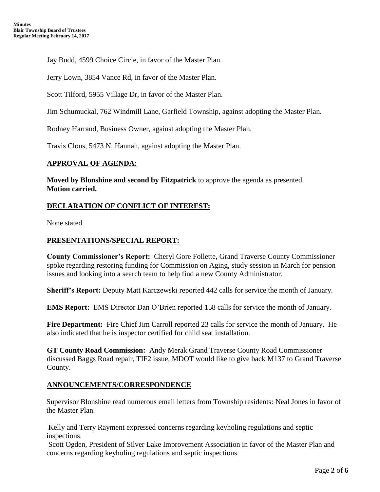Jay Budd, 4599 Choice Circle, in favor of the Master Plan.

Jerry Lown, 3854 Vance Rd, in favor of the Master Plan.

Scott Tilford, 5955 Village Dr, in favor of the Master Plan.

Jim Schumuckal, 762 Windmill Lane, Garfield Township, against adopting the Master Plan.

Rodney Harrand, Business Owner, against adopting the Master Plan.

Travis Clous, 5473 N. Hannah, against adopting the Master Plan.

## **APPROVAL OF AGENDA:**

**Moved by Blonshine and second by Fitzpatrick** to approve the agenda as presented. **Motion carried.**

## **DECLARATION OF CONFLICT OF INTEREST:**

None stated.

## **PRESENTATIONS/SPECIAL REPORT:**

**County Commissioner's Report:** Cheryl Gore Follette, Grand Traverse County Commissioner spoke regarding restoring funding for Commission on Aging, study session in March for pension issues and looking into a search team to help find a new County Administrator.

**Sheriff's Report:** Deputy Matt Karczewski reported 442 calls for service the month of January.

**EMS Report:** EMS Director Dan O'Brien reported 158 calls for service the month of January.

**Fire Department:** Fire Chief Jim Carroll reported 23 calls for service the month of January. He also indicated that he is inspector certified for child seat installation.

**GT County Road Commission:** Andy Merak Grand Traverse County Road Commissioner discussed Baggs Road repair, TIF2 issue, MDOT would like to give back M137 to Grand Traverse County.

## **ANNOUNCEMENTS/CORRESPONDENCE**

Supervisor Blonshine read numerous email letters from Township residents: Neal Jones in favor of the Master Plan.

Kelly and Terry Rayment expressed concerns regarding keyholing regulations and septic inspections.

Scott Ogden, President of Silver Lake Improvement Association in favor of the Master Plan and concerns regarding keyholing regulations and septic inspections.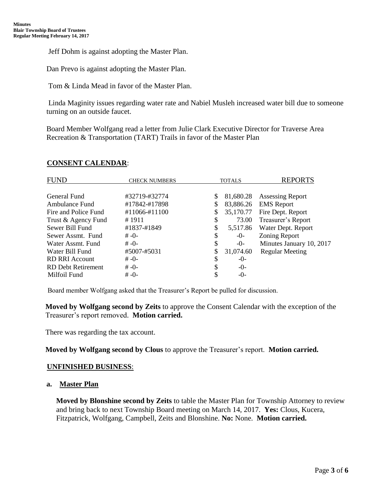Jeff Dohm is against adopting the Master Plan.

Dan Prevo is against adopting the Master Plan.

Tom & Linda Mead in favor of the Master Plan.

Linda Maginity issues regarding water rate and Nabiel Musleh increased water bill due to someone turning on an outside faucet.

Board Member Wolfgang read a letter from Julie Clark Executive Director for Traverse Area Recreation & Transportation (TART) Trails in favor of the Master Plan

# **CONSENT CALENDAR**:

| <b>FUND</b>               | <b>CHECK NUMBERS</b> | <b>TOTALS</b> |           | <b>REPORTS</b>           |
|---------------------------|----------------------|---------------|-----------|--------------------------|
| General Fund              | #32719-#32774        | \$            | 81,680.28 | <b>Assessing Report</b>  |
| Ambulance Fund            | #17842-#17898        | \$            | 83,886.26 | <b>EMS</b> Report        |
| Fire and Police Fund      | #11066-#11100        |               | 35,170.77 | Fire Dept. Report        |
| Trust & Agency Fund       | #1911                | \$            | 73.00     | Treasurer's Report       |
| Sewer Bill Fund           | #1837-#1849          | \$            | 5,517.86  | Water Dept. Report       |
| Sewer Assmt. Fund         | $# -0-$              | \$            | $-0-$     | Zoning Report            |
| Water Assmt, Fund         | $# -0-$              | \$            | $-0-$     | Minutes January 10, 2017 |
| Water Bill Fund           | #5007-#5031          |               | 31,074.60 | <b>Regular Meeting</b>   |
| <b>RD RRI Account</b>     | $# -0-$              | S             | $-()$     |                          |
| <b>RD</b> Debt Retirement | $# -0-$              | S             | $-0-$     |                          |
| Milfoil Fund              | $# -0-$              |               | $-0-$     |                          |

Board member Wolfgang asked that the Treasurer's Report be pulled for discussion.

**Moved by Wolfgang second by Zeits** to approve the Consent Calendar with the exception of the Treasurer's report removed. **Motion carried.**

There was regarding the tax account.

**Moved by Wolfgang second by Clous** to approve the Treasurer's report. **Motion carried.**

#### **UNFINISHED BUSINESS**:

#### **a. Master Plan**

**Moved by Blonshine second by Zeits** to table the Master Plan for Township Attorney to review and bring back to next Township Board meeting on March 14, 2017. **Yes:** Clous, Kucera, Fitzpatrick, Wolfgang, Campbell, Zeits and Blonshine. **No:** None. **Motion carried.**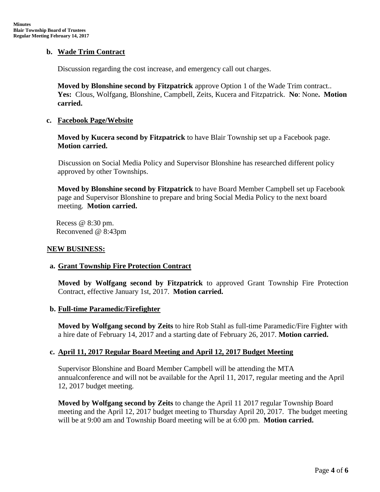## **b. Wade Trim Contract**

Discussion regarding the cost increase, and emergency call out charges.

**Moved by Blonshine second by Fitzpatrick** approve Option 1 of the Wade Trim contract.. **Yes:** Clous, Wolfgang, Blonshine, Campbell, Zeits, Kucera and Fitzpatrick. **No**: None**. Motion carried.**

#### **c. Facebook Page/Website**

**Moved by Kucera second by Fitzpatrick** to have Blair Township set up a Facebook page. **Motion carried.**

Discussion on Social Media Policy and Supervisor Blonshine has researched different policy approved by other Townships.

**Moved by Blonshine second by Fitzpatrick** to have Board Member Campbell set up Facebook page and Supervisor Blonshine to prepare and bring Social Media Policy to the next board meeting. **Motion carried.**

 Recess @ 8:30 pm. Reconvened @ 8:43pm

#### **NEW BUSINESS:**

## **a. Grant Township Fire Protection Contract**

**Moved by Wolfgang second by Fitzpatrick** to approved Grant Township Fire Protection Contract, effective January 1st, 2017. **Motion carried.**

#### **b. Full-time Paramedic/Firefighter**

**Moved by Wolfgang second by Zeits** to hire Rob Stahl as full-time Paramedic/Fire Fighter with a hire date of February 14, 2017 and a starting date of February 26, 2017. **Motion carried.**

## **c. April 11, 2017 Regular Board Meeting and April 12, 2017 Budget Meeting**

Supervisor Blonshine and Board Member Campbell will be attending the MTA annualconference and will not be available for the April 11, 2017, regular meeting and the April 12, 2017 budget meeting.

**Moved by Wolfgang second by Zeits** to change the April 11 2017 regular Township Board meeting and the April 12, 2017 budget meeting to Thursday April 20, 2017. The budget meeting will be at 9:00 am and Township Board meeting will be at 6:00 pm. **Motion carried.**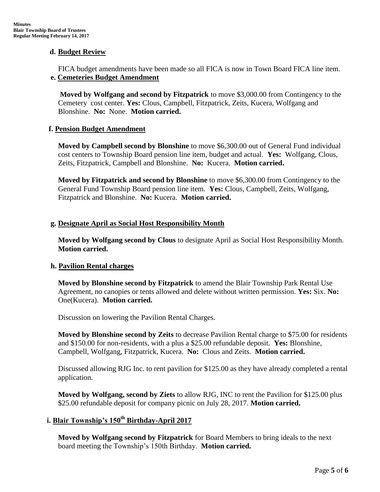## **d. Budget Review**

FICA budget amendments have been made so all FICA is now in Town Board FICA line item.  **e. Cemeteries Budget Amendment**

**Moved by Wolfgang and second by Fitzpatrick** to move \$3,000.00 from Contingency to the Cemetery cost center. **Yes:** Clous, Campbell, Fitzpatrick, Zeits, Kucera, Wolfgang and Blonshine. **No:** None. **Motion carried.**

## **f. Pension Budget Amendment**

**Moved by Campbell second by Blonshine** to move \$6,300.00 out of General Fund individual cost centers to Township Board pension line item, budget and actual. **Yes:** Wolfgang, Clous, Zeits, Fitzpatrick, Campbell and Blonshine. **No:** Kucera. **Motion carried.**

**Moved by Fitzpatrick and second by Blonshine** to move \$6,300.00 from Contingency to the General Fund Township Board pension line item. **Yes:** Clous, Campbell, Zeits, Wolfgang, Fitzpatrick and Blonshine. **No:** Kucera. **Motion carried.**

## **g. Designate April as Social Host Responsibility Month**

**Moved by Wolfgang second by Clous** to designate April as Social Host Responsibility Month. **Motion carried.**

#### **h. Pavilion Rental charges**

**Moved by Blonshine second by Fitzpatrick** to amend the Blair Township Park Rental Use Agreement, no canopies or tents allowed and delete without written permission. **Yes:** Six. **No:**  One(Kucera). **Motion carried.**

Discussion on lowering the Pavilion Rental Charges.

**Moved by Blonshine second by Zeits** to decrease Pavilion Rental charge to \$75.00 for residents and \$150.00 for non-residents, with a plus a \$25.00 refundable deposit. **Yes:** Blonshine, Campbell, Wolfgang, Fitzpatrick, Kucera. **No:** Clous and Zeits. **Motion carried.**

Discussed allowing RJG Inc. to rent pavilion for \$125.00 as they have already completed a rental application.

**Moved by Wolfgang, second by Ziets** to allow RJG, INC to rent the Pavilion for \$125.00 plus \$25.00 refundable deposit for company picnic on July 28, 2017. **Motion carried.**

# **i. Blair Township's 150 th Birthday-April 2017**

**Moved by Wolfgang second by Fitzpatrick** for Board Members to bring ideals to the next board meeting the Township's 150th Birthday. **Motion carried.**